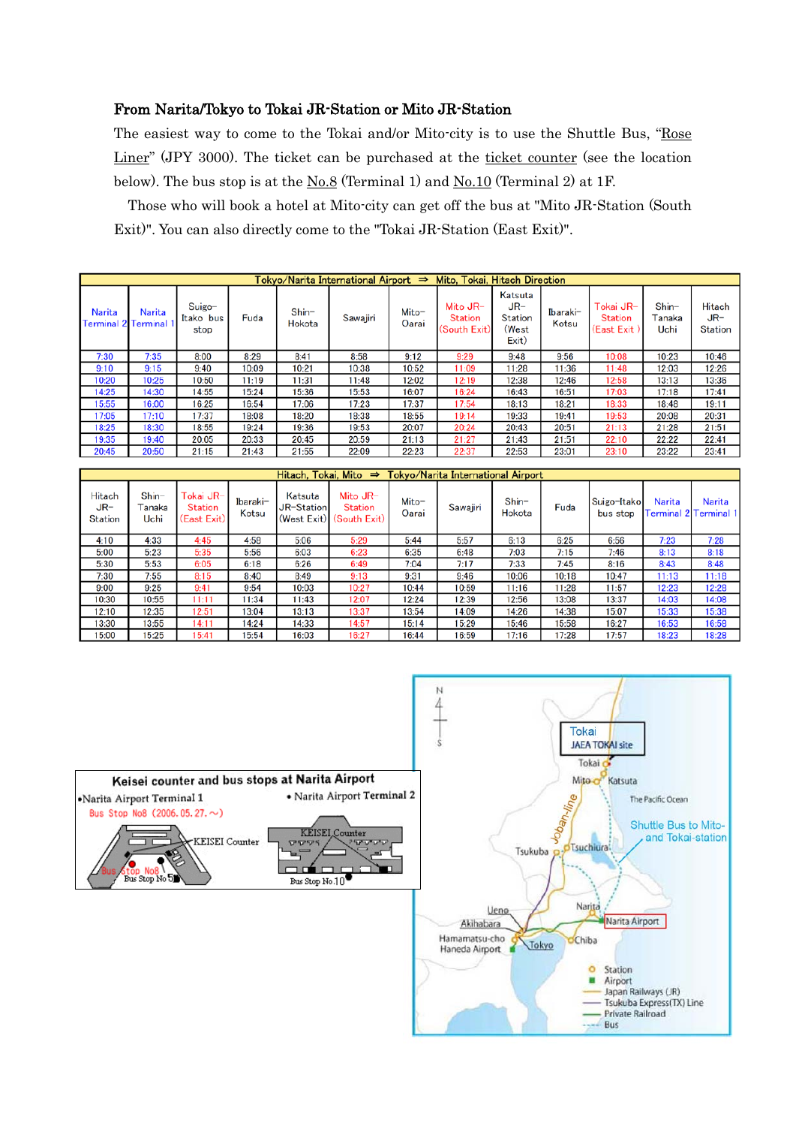### From Narita/Tokyo to Tokai JR-Station or Mito JR-Station

The easiest way to come to the Tokai and/or Mito-city is to use the Shuttle Bus, "Rose Liner" (JPY 3000). The ticket can be purchased at the ticket counter (see the location below). The bus stop is at the  $\underline{No.8}$  (Terminal 1) and  $\underline{No.10}$  (Terminal 2) at 1F.

Those who will book a hotel at Mito-city can get off the bus at "Mito JR-Station (South Exit)". You can also directly come to the "Tokai JR-Station (East Exit)".

| Tokvo/Narita International Airport $\Rightarrow$<br>Mito, Tokai, Hitach Direction |        |                             |       |                   |          |                |                                            |                                               |                   |                                     |                           |                                 |
|-----------------------------------------------------------------------------------|--------|-----------------------------|-------|-------------------|----------|----------------|--------------------------------------------|-----------------------------------------------|-------------------|-------------------------------------|---------------------------|---------------------------------|
| <b>Narita</b><br><b>Terminal 2 Terminal</b>                                       | Narita | Suigo-<br>Itako bus<br>stop | Fuda  | $Shin-$<br>Hokota | Sawajiri | Mito-<br>Oarai | Mito JR-<br><b>Station</b><br>(South Exit) | Katsuta<br>$JR-$<br>Station<br>(West<br>Exit) | Ibaraki-<br>Kotsu | Tokai JR-<br>Station<br>(East Exit) | $Shin-$<br>Tanaka<br>Uchi | Hitach<br>JR-<br><b>Station</b> |
| 7:30                                                                              | 7:35   | 8:00                        | 8:29  | 8:41              | 8:58     | 9:12           | 9:29                                       | 9:48                                          | 9:56              | 10:08                               | 10:23                     | 10:46                           |
| 9:10                                                                              | 9:15   | 9:40                        | 10:09 | 10:21             | 10:38    | 10:52          | 11:09                                      | 11:28                                         | 11:36             | 11:48                               | 12:03                     | 12:26                           |
| 10:20                                                                             | 10:25  | 10:50                       | 11:19 | 11:31             | 11:48    | 12:02          | 12:19                                      | 12:38                                         | 12:46             | 12:58                               | 13:13                     | 13:36                           |
| 14:25                                                                             | 14:30  | 14:55                       | 15:24 | 15:36             | 15:53    | 16:07          | 16:24                                      | 16:43                                         | 16:51             | 17:03                               | 17:18                     | 17:41                           |
| 15:55                                                                             | 16:00  | 16:25                       | 16:54 | 17:06             | 17:23    | 17:37          | 17:54                                      | 18:13                                         | 18:21             | 18:33                               | 18:48                     | 19:11                           |
| 17:05                                                                             | 17:10  | 17:37                       | 18:08 | 18:20             | 18:38    | 18:55          | 19:14                                      | 19:33                                         | 19:41             | 19:53                               | 20:08                     | 20:31                           |
| 18:25                                                                             | 18:30  | 18:55                       | 19:24 | 19:36             | 19:53    | 20:07          | 20:24                                      | 20:43                                         | 20:51             | 21:13                               | 21:28                     | 21:51                           |
| 19:35                                                                             | 19:40  | 20:05                       | 20:33 | 20:45             | 20:59    | 21:13          | 21:27                                      | 21:43                                         | 21:51             | 22:10                               | 22:22                     | 22:41                           |
| 20:45                                                                             | 20:50  | 21:15                       | 21:43 | 21:55             | 22:09    | 22:23          | 22:37                                      | 22:53                                         | 23:01             | 23:10                               | 23:22                     | 23:41                           |

| Tokyo/Narita International Airport<br>Hitach, Tokai, Mito $\Rightarrow$ |                           |                                     |                   |                                      |                                              |                |          |                   |       |                         |        |                                 |
|-------------------------------------------------------------------------|---------------------------|-------------------------------------|-------------------|--------------------------------------|----------------------------------------------|----------------|----------|-------------------|-------|-------------------------|--------|---------------------------------|
| Hitach<br>$JR-$<br><b>Station</b>                                       | $Shin-$<br>Tanaka<br>Uchi | Tokai JR-<br>Station<br>(East Exit) | Ibaraki-<br>Kotsu | Katsuta<br>JR-Station<br>(West Exit) | Mito $JR-$<br><b>Station</b><br>(South Exit) | Mito-<br>Oarai | Sawajiri | $Shin-$<br>Hokota | Fuda  | Suigo-Itako<br>bus stop | Narita | Narita<br>Terminal 2 Terminal 1 |
| 4:10                                                                    | 4:33                      | 4:45                                | 4:58              | 5:06                                 | 5:29                                         | 5:44           | 5:57     | 6:13              | 6:25  | 6:56                    | 7:23   | 7:28                            |
| 5:00                                                                    | 5:23                      | 5:35                                | 5:56              | 6:03                                 | 6:23                                         | 6:35           | 6:48     | 7:03              | 7:15  | 7:46                    | 8:13   | 8:18                            |
| 5:30                                                                    | 5:53                      | 6:05                                | 6:18              | 6:26                                 | 6:49                                         | 7:04           | 7:17     | 7:33              | 7:45  | 8:16                    | 8:43   | 8:48                            |
| 7:30                                                                    | 7:55                      | 8:15                                | 8:40              | 8:49                                 | 9:13                                         | 9:31           | 9:46     | 10:06             | 10:18 | 10:47                   | 11:13  | 11:18                           |
| 9:00                                                                    | 9:25                      | 9:41                                | 9:54              | 10:03                                | 10:27                                        | 10:44          | 10:59    | 11:16             | 11:28 | 11:57                   | 12:23  | 12:28                           |
| 10:30                                                                   | 10:55                     | 11:11                               | 11:34             | 11:43                                | 12:07                                        | 12:24          | 12:39    | 12:56             | 13:08 | 13:37                   | 14:03  | 14:08                           |
| 12:10                                                                   | 12:35                     | 12:51                               | 13:04             | 13:13                                | 13:37                                        | 13:54          | 14:09    | 14:26             | 14:38 | 15:07                   | 15:33  | 15:38                           |
| 13:30                                                                   | 13:55                     | 14:11                               | 14:24             | 14:33                                | 14:57                                        | 15:14          | 15:29    | 15:46             | 15:58 | 16:27                   | 16:53  | 16:58                           |
| 15:00                                                                   | 15:25                     | 15:41                               | 15:54             | 16:03                                | 16:27                                        | 16:44          | 16:59    | 17:16             | 17:28 | 17:57                   | 18:23  | 18:28                           |



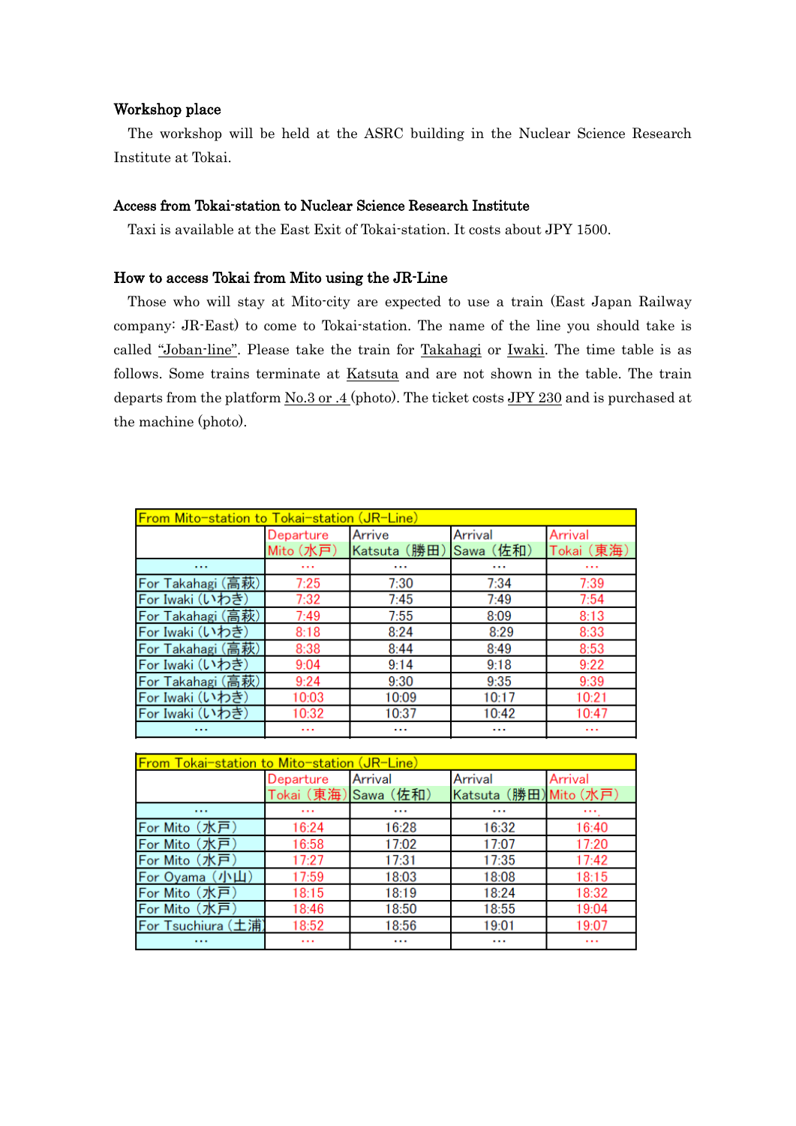#### Workshop place

The workshop will be held at the ASRC building in the Nuclear Science Research Institute at Tokai.

#### Access from Tokai-station to Nuclear Science Research Institute

Taxi is available at the East Exit of Tokai-station. It costs about JPY 1500.

#### How to access Tokai from Mito using the JR-Line

Those who will stay at Mito-city are expected to use a train (East Japan Railway company: JR-East) to come to Tokai-station. The name of the line you should take is called "Joban-line". Please take the train for Takahagi or Iwaki. The time table is as follows. Some trains terminate at Katsuta and are not shown in the table. The train departs from the platform  $\underline{No.3}$  or .4 (photo). The ticket costs JPY 230 and is purchased at the machine (photo).

| <b>From Mito-station to Tokai-station (JR-Line)</b> |           |              |           |            |  |  |  |  |
|-----------------------------------------------------|-----------|--------------|-----------|------------|--|--|--|--|
|                                                     | Departure | Arrive       | Arrival   | Arrival    |  |  |  |  |
|                                                     | Mito (水戸) | Katsuta (勝田) | Sawa (佐和) | Tokai (東海) |  |  |  |  |
| $\cdots$                                            | $\cdots$  | $\cdots$     |           | $\cdots$   |  |  |  |  |
| For Takahagi (高萩)                                   | 7:25      | 7:30         | 7:34      | 7:39       |  |  |  |  |
| For Iwaki (いわき)                                     | 7:32      | 7:45         | 7:49      | 7:54       |  |  |  |  |
| For Takahagi (高萩)                                   | 7:49      | 7:55         | 8:09      | 8:13       |  |  |  |  |
| For Iwaki (いわき)                                     | 8:18      | 8:24         | 8:29      | 8:33       |  |  |  |  |
| For Takahagi (高萩)                                   | 8:38      | 8:44         | 8:49      | 8:53       |  |  |  |  |
| For Iwaki (いわき)                                     | 9:04      | 9:14         | 9:18      | 9:22       |  |  |  |  |
| For Takahagi (高萩)                                   | 9:24      | 9:30         | 9:35      | 9:39       |  |  |  |  |
| For Iwaki (いわき)                                     | 10:03     | 10:09        | 10:17     | 10:21      |  |  |  |  |
| For Iwaki (いわき)                                     | 10:32     | 10:37        | 10:42     | 10:47      |  |  |  |  |
|                                                     | $\cdots$  |              |           |            |  |  |  |  |

| From Tokai-station to Mito-station (JR-Line) |                      |         |                        |         |  |  |  |  |  |
|----------------------------------------------|----------------------|---------|------------------------|---------|--|--|--|--|--|
|                                              | Departure            | Arrival | Arrival                | Arrival |  |  |  |  |  |
|                                              | Tokai (東海) Sawa (佐和) |         | Katsuta (勝田) Mito (水戸) |         |  |  |  |  |  |
| $\cdots$                                     | $\cdots$             |         |                        |         |  |  |  |  |  |
| For Mito (水戸)                                | 16:24                | 16:28   | 16:32                  | 16:40   |  |  |  |  |  |
| For Mito (水戸)                                | 16:58                | 17:02   | 17:07                  | 17:20   |  |  |  |  |  |
| For Mito (水戸)                                | 17:27                | 17:31   | 17:35                  | 17:42   |  |  |  |  |  |
| For Oyama (小山)                               | 17:59                | 18:03   | 18:08                  | 18:15   |  |  |  |  |  |
| For Mito (水戸)                                | 18:15                | 18:19   | 18:24                  | 18:32   |  |  |  |  |  |
| For Mito (水戸)                                | 18:46                | 18:50   | 18:55                  | 19:04   |  |  |  |  |  |
| For Tsuchiura (土浦)                           | 18:52                | 18:56   | 19:01                  | 19:07   |  |  |  |  |  |
| 1.11                                         | $\cdots$             |         |                        |         |  |  |  |  |  |